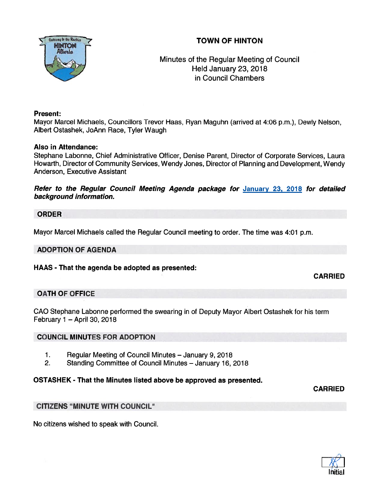# TOWN OF HINTON



Minutes of the Regular Meeting of Council Held January 23, 2018 in Council Chambers

## Present:

Mayor Marcel Michaels, Councillors Trevor Haas, Ryan Maguhn (arrived at 4:06 p.m.), Dewly Nelson, Albert Ostashek, JoAnn Race, Tyler Waugh

## Also in Attendance:

Stephane Labonne, Chief Administrative Officer, Denise Parent, Director of Corporate Services, Laura Howarth, Director of Community Services, Wendy Jones, Director of Planning and Development, Wendy Anderson, Executive Assistant

Refer to the Regular Council Meeting Agenda package for January 23, 2018 for detailed background information.

## ORDER

Mayor Marcel Michaels called the Regular Council meeting to order. The time was 4:01 p.m.

### ADOPTION OF AGENDA

### HAAS - That the agenda be adopted as presented:

## CARRIED

## OATH OF OFFICE

CAO Stephane Labonne pertormed the swearing in of Deputy Mayor Albert Ostashek for his term February 1 —April 30, 2018

### COUNCIL MINUTES FOR ADOPTION

- 1. Regular Meeting of Council Minutes January 9, 2018
- 2. Standing Committee of Council Minutes January 16, 2018

## OSTASHEK - That the Minutes listed above be approved as presented.

CARRIED

## CITIZENS 'MINUTE WITH COUNCIL"

No citizens wished to speak with Council.

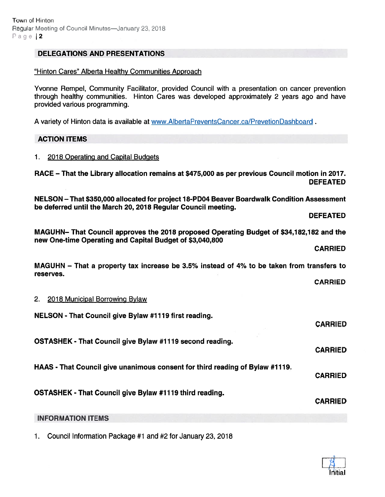### DELEGATIONS AND PRESENTATIONS

#### "Hinton Cares" Alberta Healthy Communities Approach

Yvonne Rempel, Community Facilitator, provided Council with <sup>a</sup> presentation on cancer prevention through healthy communities. Hinton Cares was developed approximately 2 years ago and have provided various programming.

A variety of Hinton data is available at www.AlbertaPreventsCancer.ca/PrevetionDashboard.

#### ACTION ITEMS

#### 1. 2018 Operating and Capital Budgets

RACE — That the Library allocation remains at \$475,000 as per previous Council motion in 2077. DEFEATED

NELSON — That \$350,000 allocated for project 18-PDO4 Beaver Boardwalk Condition Assessment be deferred until the March 20, 2018 Regular Council meeting.

DEFEATED

MAGUHN— That Council approves the 2078 proposed Operating Budget of \$34,182,182 and the new One-time Operating and Capital Budget of \$3,040,800

CARRIED

MAGUHN — That <sup>a</sup> property tax increase be 3.5% instead of 4% to be taken from transfers to reserves.

CARRIED

#### 2. 2018 Municipal Borrowing Bylaw

NELSON - That Council give Bylaw #1119 first reading. CARRIED OSTASHEK - That Council give Bylaw #1179 second reading. CARRIED HAAS - That Council give unanimous consent for third reading of Bylaw #1119. CARRIED OSTASHEK - That Council give Bylaw #7719 third reading. CARRIED INFORMATION ITEMS

1. Council Information Package #1 and #2 for January 23, 2018

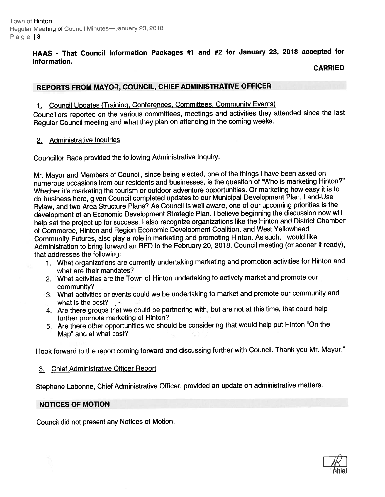## HAAS - That Council Information Packages #1 and #2 for January 23, <sup>2078</sup> accepted for information

### CARRIED

## REPORTS FROM MAYOR, COUNCIL, CHIEF ADMINISTRATIVE OFFICER

1. Council Updates (Training, Conferences, Committees, Community Events)

Councillors reported on the various committees, meetings and activities they attended since the last Regular Council meeting and what they <sup>p</sup>lan on attending in the coming weeks.

### 2. Administrative Inquiries

Councillor Race provided the following Administrative Inquiry.

Mr. Mayor and Members of Council, since being elected, one of the things <sup>I</sup> have been asked on numerous occasions from our residents and businesses, is the question of 'Who is marketing Hinton?" Whether it's marketing the tourism or outdoor adventure opportunities. Or marketing how easy it is to do business here, <sup>g</sup>iven Council completed updates to our Municipal Development Plan, Land-Use Bylaw, and two Area Structure Plans? As Council is well aware, one of our upcoming priorities is the development of an Economic Development Strategic Plan. <sup>I</sup> believe beginning the discussion now will help set the project up for success. <sup>I</sup> also recognize organizations like the Hinton and District Chamber of Commerce, Hinton and Region Economic Development Coalition, and West Yellowhead Community Futures, also <sup>p</sup>lay <sup>a</sup> role in marketing and promoting Hinton. As such, <sup>I</sup> would like Administration to bring forward an RFD to the February 20, 2018, Council meeting (or sooner if ready), that addresses the following:

- <sup>1</sup> What organizations are currently undertaking marketing and promotion activities for Hinton and what are their mandates?
- 2. What activities are the Town of Hinton undertaking to actively market and promote our community?
- 3. What activities or events could we be undertaking to market and promote our community and what is the cost?
- 4. Are there groups that we could be partnering with, but are not at this time, that could help further promote marketing of Hinton?
- 5. Are there other opportunities we should be considering that would help pu<sup>t</sup> Hinton "On the Map" and at what cost?

<sup>I</sup> look forward to the repor<sup>t</sup> coming forward and discussing further with Council. Thank you Mr. Mayor."

### 3. Chief Administrative Officer Report

Stephane Labonne, Chief Administrative Officer, provided an update on administrative matters.

### NOTICES OF MOTION

Council did not presen<sup>t</sup> any Notices of Motion.